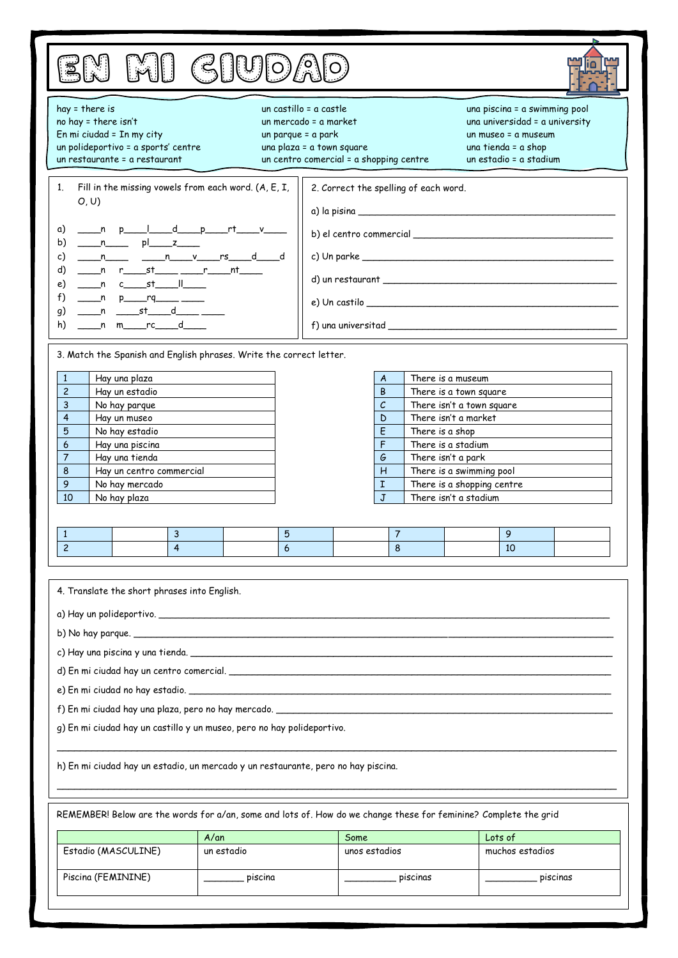| EN MI GIUDAD |
|--------------|
|--------------|



| bu du vuc <i>u</i> m                                                                                                                                                                                                                                                                                                                    |            |  |                                                                                                                         |                                                                                                                                                             |                                                                                     |                                                                                                                                         |  |  |
|-----------------------------------------------------------------------------------------------------------------------------------------------------------------------------------------------------------------------------------------------------------------------------------------------------------------------------------------|------------|--|-------------------------------------------------------------------------------------------------------------------------|-------------------------------------------------------------------------------------------------------------------------------------------------------------|-------------------------------------------------------------------------------------|-----------------------------------------------------------------------------------------------------------------------------------------|--|--|
| hay = there is<br>no hay = there isn't<br>En mi ciudad = In my city<br>un parque = a park<br>un polideportivo = a sports' centre<br>un restaurante = a restaurant                                                                                                                                                                       |            |  | un castillo = a castle<br>un mercado = a market<br>una plaza = a town square<br>un centro comercial = a shopping centre |                                                                                                                                                             |                                                                                     | una piscina = a swimming pool<br>una universidad = a university<br>un museo = a museum<br>una tienda = a shop<br>un estadio = a stadium |  |  |
| Fill in the missing vowels from each word. (A, E, I,<br>1.<br>O, U<br>α)<br>b)<br>___ n_______ pl_____z_____<br><u>n n n v rs d d</u><br>c)<br>d)<br>__n c____st_____  ____<br>e)<br>f)<br>___n p_____rq_____ ____<br>g)<br>n m_rc_d_<br>h)                                                                                             |            |  | 2. Correct the spelling of each word.<br>$e)$ Un castilo                                                                |                                                                                                                                                             |                                                                                     |                                                                                                                                         |  |  |
| 3. Match the Spanish and English phrases. Write the correct letter.<br>$\mathbf{1}$<br>Hay una plaza<br>$\overline{c}$<br>Hay un estadio<br>3<br>No hay parque<br>4<br>Hay un museo<br>5<br>No hay estadio<br>Hay una piscina<br>6<br>Hay una tienda<br>7<br>8<br>Hay un centro commercial<br>9<br>No hay mercado<br>10<br>No hay plaza |            |  | A<br>B<br>$\mathcal{C}$<br>D<br>E<br>F<br>G<br>н<br>I<br>J                                                              | There is a museum<br>There is a town square<br>There isn't a market<br>There is a shop<br>There is a stadium<br>There isn't a park<br>There isn't a stadium | There isn't a town square<br>There is a swimming pool<br>There is a shopping centre |                                                                                                                                         |  |  |
| 3<br>$\mathbf{1}$<br>$\overline{4}$<br>$\overline{c}$                                                                                                                                                                                                                                                                                   | 5<br>6     |  | $\overline{7}$<br>8                                                                                                     |                                                                                                                                                             | 9<br>10                                                                             |                                                                                                                                         |  |  |
| 4. Translate the short phrases into English.<br>g) En mi ciudad hay un castillo y un museo, pero no hay polideportivo.<br>h) En mi ciudad hay un estadio, un mercado y un restaurante, pero no hay piscina.                                                                                                                             |            |  |                                                                                                                         |                                                                                                                                                             |                                                                                     |                                                                                                                                         |  |  |
| REMEMBER! Below are the words for a/an, some and lots of. How do we change these for feminine? Complete the grid<br>$A/\alpha n$<br>Lots of<br>Some                                                                                                                                                                                     |            |  |                                                                                                                         |                                                                                                                                                             |                                                                                     |                                                                                                                                         |  |  |
| Estadio (MASCULINE)                                                                                                                                                                                                                                                                                                                     | un estadio |  | unos estadios                                                                                                           |                                                                                                                                                             |                                                                                     | muchos estadios                                                                                                                         |  |  |
| Piscina (FEMININE)                                                                                                                                                                                                                                                                                                                      | . piscina  |  | . piscinas                                                                                                              |                                                                                                                                                             |                                                                                     | piscinas                                                                                                                                |  |  |